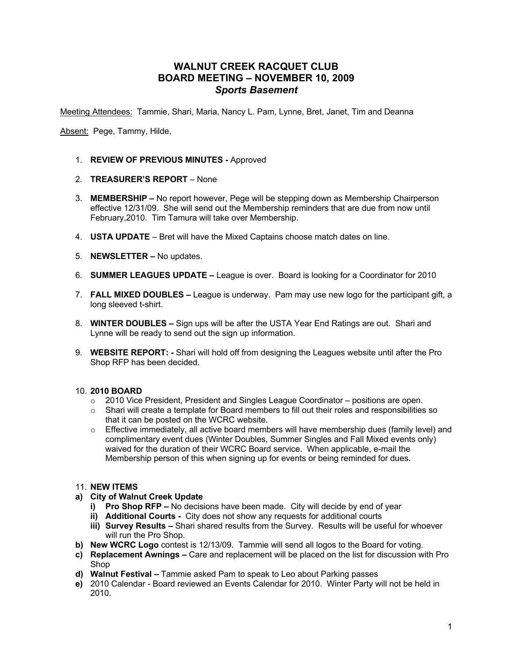## **WALNUT CREEK RACQUET CLUB BOARD MEETING – NOVEMBER 10, 2009** *Sports Basement*

Meeting Attendees: Tammie, Shari, Maria, Nancy L. Pam, Lynne, Bret, Janet, Tim and Deanna

Absent: Pege, Tammy, Hilde,

- 1. **REVIEW OF PREVIOUS MINUTES -** Approved
- 2. **TREASURER'S REPORT**  None
- 3. **MEMBERSHIP –** No report however, Pege will be stepping down as Membership Chairperson effective 12/31/09. She will send out the Membership reminders that are due from now until February,2010. Tim Tamura will take over Membership.
- 4. **USTA UPDATE** Bret will have the Mixed Captains choose match dates on line.
- 5. **NEWSLETTER –** No updates.
- 6. **SUMMER LEAGUES UPDATE –** League is over. Board is looking for a Coordinator for 2010
- 7. **FALL MIXED DOUBLES –** League is underway. Pam may use new logo for the participant gift, a long sleeved t-shirt.
- 8. **WINTER DOUBLES –** Sign ups will be after the USTA Year End Ratings are out. Shari and Lynne will be ready to send out the sign up information.
- 9. **WEBSITE REPORT: -** Shari will hold off from designing the Leagues website until after the Pro Shop RFP has been decided.

## 10. **2010 BOARD**

- o 2010 Vice President, President and Singles League Coordinator positions are open.
- o Shari will create a template for Board members to fill out their roles and responsibilities so that it can be posted on the WCRC website.
- $\circ$  Effective immediately, all active board members will have membership dues (family level) and complimentary event dues (Winter Doubles, Summer Singles and Fall Mixed events only) waived for the duration of their WCRC Board service. When applicable, e-mail the Membership person of this when signing up for events or being reminded for dues.

## 11. **NEW ITEMS**

- **a) City of Walnut Creek Update**
	- **i) Pro Shop RFP –** No decisions have been made. City will decide by end of year
	- **ii) Additional Courts -** City does not show any requests for additional courts
	- **iii) Survey Results –** Shari shared results from the Survey. Results will be useful for whoever will run the Pro Shop.
- **b) New WCRC Logo** contest is 12/13/09. Tammie will send all logos to the Board for voting.
- **c) Replacement Awnings –** Care and replacement will be placed on the list for discussion with Pro Shop
- **d) Walnut Festival –** Tammie asked Pam to speak to Leo about Parking passes
- **e)** 2010 Calendar Board reviewed an Events Calendar for 2010. Winter Party will not be held in 2010.